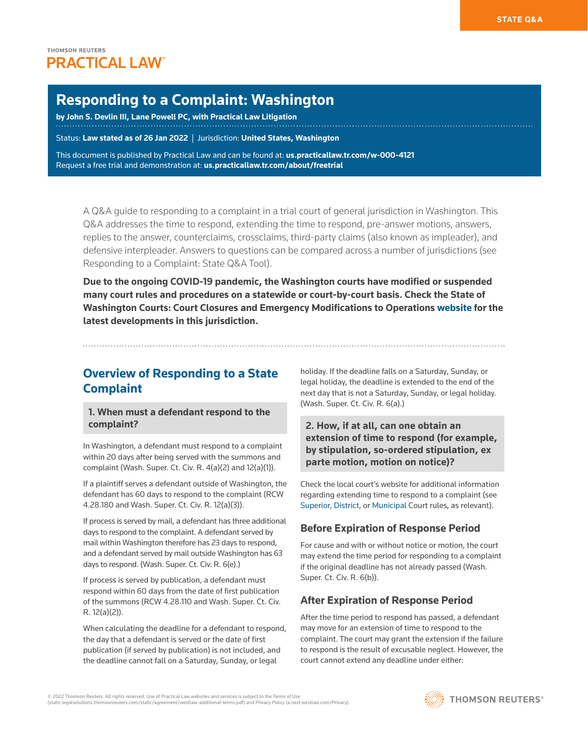# **Responding to a Complaint: Washington**

**by [John S. Devlin III,](https://www.lanepowell.com/Our-People/John-S-Devlin) [Lane Powell PC](http://www.westlaw.com/Document/Ic24f6954b8b611e598dc8b09b4f043e0/View/FullText.html?originationContext=document&vr=3.0&rs=cblt1.0&transitionType=PLDocumentLink&billingHash=703530F8AA9AC65C582BEF8FE89D3F719FBF13E112C74012B7979986841C629B&contextData=(sc.Search)), with Practical Law Litigation**

Status: **Law stated as of 26 Jan 2022** | Jurisdiction: **United States, Washington**

This document is published by Practical Law and can be found at[:](http://us.practicallaw.tr.com/W-028-4180) **[us.practicallaw.tr.com/w-000-4121](http://us.practicallaw.tr.com/w-000-4121)** Request a free trial and demonstration at: **[us.practicallaw.tr.com/about/freetrial](http://us.practicallaw.tr.com/about/freetrial)**

A Q&A guide to responding to a complaint in a trial court of general jurisdiction in Washington. This Q&A addresses the time to respond, extending the time to respond, pre-answer motions, answers, replies to the answer, counterclaims, crossclaims, third-party claims (also known as impleader), and defensive interpleader. Answers to questions can be compared across a number of jurisdictions (see [Responding to a Complaint: State Q&A Tool](http://www.westlaw.com/QACompare/Builder/State?topicGuidReferrer=Ib731b9e8977311e498db8b09b4f043e0&originationContext=document&vr=3.0&rs=cblt1.0&transitionType=PLDocumentLink&contextData=(sc.Search)#/topics/Responding to a Complaint)).

**Due to the ongoing [COVID-19](http://www.westlaw.com/Document/Iace5bef75d9111eaadfea82903531a62/View/FullText.html?originationContext=document&vr=3.0&rs=cblt1.0&transitionType=DocumentItem&contextData=(sc.Search)) pandemic, the Washington courts have modified or suspended many court rules and procedures on a statewide or court-by-court basis. Check the State of Washington Courts: Court Closures and Emergency Modifications to Operations [website](http://www.courts.wa.gov/index.cfm?fa=home.courtClosures) for the latest developments in this jurisdiction.**

# **Overview of Responding to a State Complaint**

**1. When must a defendant respond to the complaint?**

In Washington, a defendant must respond to a complaint within 20 days after being served with the summons and complaint ([Wash. Super. Ct. Civ. R. 4\(a\)\(2\)](http://www.westlaw.com/Link/Document/FullText?findType=L&pubNum=1003982&cite=WARSUPERCTCIVCR4&originatingDoc=I9e8d955217c611e598db8b09b4f043e0&refType=LQ&originationContext=document&vr=3.0&rs=cblt1.0&transitionType=PLDocumentLink&billingHash=3BA11DE1F3069442F05CF0962A5BF672A021F3BD69B961F954036D1A17216FE1&contextData=(sc.Search)) and [12\(a\)\(1\)](http://www.westlaw.com/Link/Document/FullText?findType=L&pubNum=1003982&cite=WARSUPERCTCIVCR12&originatingDoc=I9e8d955217c611e598db8b09b4f043e0&refType=LQ&originationContext=document&vr=3.0&rs=cblt1.0&transitionType=PLDocumentLink&billingHash=97167F438FC778BAA872619E33680F5140922440B648EDB528FFA51B899EAA33&contextData=(sc.Search))).

If a plaintiff serves a defendant outside of Washington, the defendant has 60 days to respond to the complaint ([RCW](http://www.westlaw.com/Link/Document/FullText?findType=L&pubNum=1000259&cite=WAST4.28.180&originatingDoc=I9e8d955217c611e598db8b09b4f043e0&refType=LQ&originationContext=document&vr=3.0&rs=cblt1.0&transitionType=PLDocumentLink&billingHash=52F2D2C841681F739FDD855EB05A4C445880713E5D31A35F27783EEF406A5D3E&contextData=(sc.Search))  [4.28.180](http://www.westlaw.com/Link/Document/FullText?findType=L&pubNum=1000259&cite=WAST4.28.180&originatingDoc=I9e8d955217c611e598db8b09b4f043e0&refType=LQ&originationContext=document&vr=3.0&rs=cblt1.0&transitionType=PLDocumentLink&billingHash=52F2D2C841681F739FDD855EB05A4C445880713E5D31A35F27783EEF406A5D3E&contextData=(sc.Search)) and [Wash. Super. Ct. Civ. R. 12\(a\)\(3\)\)](http://www.westlaw.com/Link/Document/FullText?findType=L&pubNum=1003982&cite=WARSUPERCTCIVCR12&originatingDoc=I9e8d955217c611e598db8b09b4f043e0&refType=LQ&originationContext=document&vr=3.0&rs=cblt1.0&transitionType=PLDocumentLink&billingHash=97167F438FC778BAA872619E33680F5140922440B648EDB528FFA51B899EAA33&contextData=(sc.Search)).

If process is served by mail, a defendant has three additional days to respond to the complaint. A defendant served by mail within Washington therefore has 23 days to respond, and a defendant served by mail outside Washington has 63 days to respond. ([Wash. Super. Ct. Civ. R. 6\(e\)](http://www.westlaw.com/Link/Document/FullText?findType=L&pubNum=1003982&cite=WARSUPERCTCIVCR6&originatingDoc=I9e8d955217c611e598db8b09b4f043e0&refType=LQ&originationContext=document&vr=3.0&rs=cblt1.0&transitionType=PLDocumentLink&billingHash=9DCA3B7D2524F76C7A02F14A087E63D817E18EF36D73C1AB67311888CC258E4F&contextData=(sc.Search)).)

If [process](http://www.westlaw.com/Document/I0fa00d72ef0811e28578f7ccc38dcbee/View/FullText.html?originationContext=document&vr=3.0&rs=cblt1.0&transitionType=DocumentItem&contextData=(sc.Search)) is served by publication, a defendant must respond within 60 days from the date of first publication of the summons [\(RCW 4.28.110](http://www.westlaw.com/Link/Document/FullText?findType=L&pubNum=1000259&cite=WAST4.28.110&originatingDoc=I9e8d955217c611e598db8b09b4f043e0&refType=LQ&originationContext=document&vr=3.0&rs=cblt1.0&transitionType=PLDocumentLink&billingHash=46F5C9CD6CE0598F2DC7503647037D13BACD9403F72C088C1BD2EB4C13D2C41D&contextData=(sc.Search)) and [Wash. Super. Ct. Civ.](http://www.westlaw.com/Link/Document/FullText?findType=L&pubNum=1003982&cite=WARSUPERCTCIVCR12&originatingDoc=I9e8d955217c611e598db8b09b4f043e0&refType=LQ&originationContext=document&vr=3.0&rs=cblt1.0&transitionType=PLDocumentLink&billingHash=97167F438FC778BAA872619E33680F5140922440B648EDB528FFA51B899EAA33&contextData=(sc.Search))  [R. 12\(a\)\(2\)](http://www.westlaw.com/Link/Document/FullText?findType=L&pubNum=1003982&cite=WARSUPERCTCIVCR12&originatingDoc=I9e8d955217c611e598db8b09b4f043e0&refType=LQ&originationContext=document&vr=3.0&rs=cblt1.0&transitionType=PLDocumentLink&billingHash=97167F438FC778BAA872619E33680F5140922440B648EDB528FFA51B899EAA33&contextData=(sc.Search))).

When calculating the deadline for a defendant to respond, the day that a defendant is served or the date of first publication (if served by publication) is not included, and the deadline cannot fall on a Saturday, Sunday, or legal

holiday. If the deadline falls on a Saturday, Sunday, or legal holiday, the deadline is extended to the end of the next day that is not a Saturday, Sunday, or legal holiday. [\(Wash. Super. Ct. Civ. R. 6\(a\)](http://www.westlaw.com/Link/Document/FullText?findType=L&pubNum=1003982&cite=WARSUPERCTCIVCR6&originatingDoc=I9e8d955217c611e598db8b09b4f043e0&refType=LQ&originationContext=document&vr=3.0&rs=cblt1.0&transitionType=PLDocumentLink&billingHash=9DCA3B7D2524F76C7A02F14A087E63D817E18EF36D73C1AB67311888CC258E4F&contextData=(sc.Search)).)

**2. How, if at all, can one obtain an extension of time to respond (for example, by stipulation, so-ordered stipulation, ex parte motion, motion on notice)?**

Check the local court's website for additional information regarding extending time to respond to a complaint (see [Superior](https://www.courts.wa.gov/court_rules/?fa=court_rules.localsupbycrt), [District](https://www.courts.wa.gov/court_rules/?fa=court_rules.localdisbycrt), or [Municipal](https://www.courts.wa.gov/court_rules/?fa=court_rules.localmunlist) Court rules, as relevant).

# **Before Expiration of Response Period**

For cause and with or without notice or motion, the court may extend the time period for responding to a complaint if the original deadline has not already passed ([Wash.](http://www.westlaw.com/Link/Document/FullText?findType=L&pubNum=1003982&cite=WARSUPERCTCIVCR6&originatingDoc=I9e8d955217c611e598db8b09b4f043e0&refType=LQ&originationContext=document&vr=3.0&rs=cblt1.0&transitionType=PLDocumentLink&billingHash=9DCA3B7D2524F76C7A02F14A087E63D817E18EF36D73C1AB67311888CC258E4F&contextData=(sc.Search))  [Super. Ct. Civ. R. 6\(b\)\)](http://www.westlaw.com/Link/Document/FullText?findType=L&pubNum=1003982&cite=WARSUPERCTCIVCR6&originatingDoc=I9e8d955217c611e598db8b09b4f043e0&refType=LQ&originationContext=document&vr=3.0&rs=cblt1.0&transitionType=PLDocumentLink&billingHash=9DCA3B7D2524F76C7A02F14A087E63D817E18EF36D73C1AB67311888CC258E4F&contextData=(sc.Search)).

# **After Expiration of Response Period**

After the time period to respond has passed, a defendant may move for an extension of time to respond to the complaint. The court may grant the extension if the failure to respond is the result of excusable neglect. However, the court cannot extend any deadline under either:

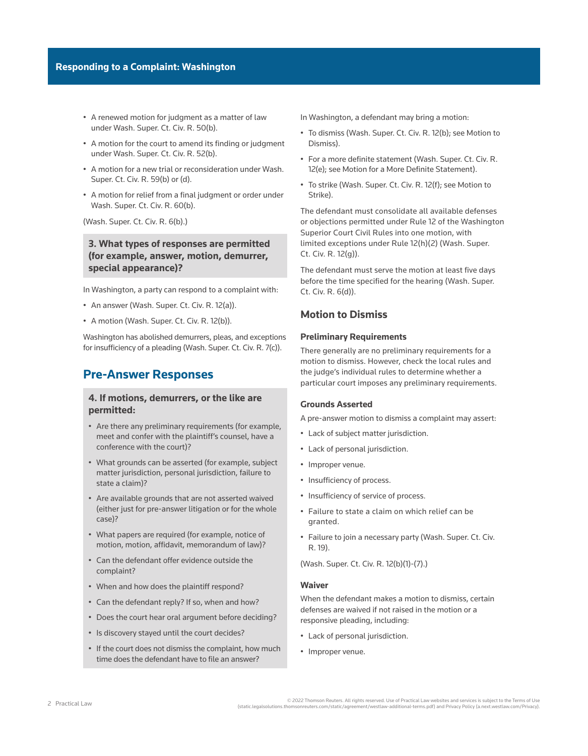- A renewed motion for judgment as a matter of law under [Wash. Super. Ct. Civ. R. 50\(b\).](http://www.westlaw.com/Link/Document/FullText?findType=L&pubNum=1003982&cite=WARSUPERCTCIVCR50&originatingDoc=I9e8d955217c611e598db8b09b4f043e0&refType=LQ&originationContext=document&vr=3.0&rs=cblt1.0&transitionType=PLDocumentLink&billingHash=A2A1177E71365D6329599470AA8C19F73F01F2813A9E70D9398268A889636C2B&contextData=(sc.Search))
- A motion for the court to amend its finding or judgment under [Wash. Super. Ct. Civ. R. 52\(b\)](http://www.westlaw.com/Link/Document/FullText?findType=L&pubNum=1003982&cite=WARSUPERCTCIVCR52&originatingDoc=I9e8d955217c611e598db8b09b4f043e0&refType=LQ&originationContext=document&vr=3.0&rs=cblt1.0&transitionType=PLDocumentLink&billingHash=2E5F250D8EBC09C9A9766CE7F02C92615644FB32F55EEE09E3F1B1F9E42E32EB&contextData=(sc.Search)).
- A motion for a new trial or reconsideration under [Wash.](http://www.westlaw.com/Link/Document/FullText?findType=L&pubNum=1003982&cite=WARSUPERCTCIVCR59&originatingDoc=I9e8d955217c611e598db8b09b4f043e0&refType=LQ&originationContext=document&vr=3.0&rs=cblt1.0&transitionType=PLDocumentLink&billingHash=1043CCEAEA1558C6B9645C70006E12CF9889BF8F49D8F44CE31BA035F7063BA5&contextData=(sc.Search))  [Super. Ct. Civ. R. 59\(b\) or \(d\)](http://www.westlaw.com/Link/Document/FullText?findType=L&pubNum=1003982&cite=WARSUPERCTCIVCR59&originatingDoc=I9e8d955217c611e598db8b09b4f043e0&refType=LQ&originationContext=document&vr=3.0&rs=cblt1.0&transitionType=PLDocumentLink&billingHash=1043CCEAEA1558C6B9645C70006E12CF9889BF8F49D8F44CE31BA035F7063BA5&contextData=(sc.Search)).
- A motion for relief from a final judgment or order under [Wash. Super. Ct. Civ. R. 60\(b\).](http://www.westlaw.com/Link/Document/FullText?findType=L&pubNum=1003982&cite=WARSUPERCTCIVCR60&originatingDoc=I9e8d955217c611e598db8b09b4f043e0&refType=LQ&originationContext=document&vr=3.0&rs=cblt1.0&transitionType=PLDocumentLink&billingHash=EE6AD99832BC9EDB97E999722F8200A16FB952B1477B6AF861520C7E02B189B9&contextData=(sc.Search))

([Wash. Super. Ct. Civ. R. 6\(b\).](http://www.westlaw.com/Link/Document/FullText?findType=L&pubNum=1003982&cite=WARSUPERCTCIVCR6&originatingDoc=I9e8d955217c611e598db8b09b4f043e0&refType=LQ&originationContext=document&vr=3.0&rs=cblt1.0&transitionType=PLDocumentLink&billingHash=9DCA3B7D2524F76C7A02F14A087E63D817E18EF36D73C1AB67311888CC258E4F&contextData=(sc.Search)))

**3. What types of responses are permitted (for example, answer, motion, demurrer, special appearance)?**

In Washington, a party can respond to a complaint with:

- An answer ([Wash. Super. Ct. Civ. R. 12\(a\)](http://www.westlaw.com/Link/Document/FullText?findType=L&pubNum=1003982&cite=WARSUPERCTCIVCR12&originatingDoc=I9e8d955217c611e598db8b09b4f043e0&refType=LQ&originationContext=document&vr=3.0&rs=cblt1.0&transitionType=PLDocumentLink&billingHash=97167F438FC778BAA872619E33680F5140922440B648EDB528FFA51B899EAA33&contextData=(sc.Search))).
- A motion ([Wash. Super. Ct. Civ. R. 12\(b\)](http://www.westlaw.com/Link/Document/FullText?findType=L&pubNum=1003982&cite=WARSUPERCTCIVCR12&originatingDoc=I9e8d955217c611e598db8b09b4f043e0&refType=LQ&originationContext=document&vr=3.0&rs=cblt1.0&transitionType=PLDocumentLink&billingHash=97167F438FC778BAA872619E33680F5140922440B648EDB528FFA51B899EAA33&contextData=(sc.Search))).

Washington has abolished demurrers, pleas, and exceptions for insufficiency of a pleading ([Wash. Super. Ct. Civ. R. 7\(c\)\)](http://www.westlaw.com/Link/Document/FullText?findType=L&pubNum=1003982&cite=WARSUPERCTCIVCR7&originatingDoc=I9e8d955217c611e598db8b09b4f043e0&refType=LQ&originationContext=document&vr=3.0&rs=cblt1.0&transitionType=PLDocumentLink&billingHash=1380C4578D81B88ACDBCC18258ACE5D30C41F72B4764A74B20AB3057D5731C7B&contextData=(sc.Search)).

# **Pre-Answer Responses**

# **4. If motions, demurrers, or the like are permitted:**

- Are there any preliminary requirements (for example, meet and confer with the plaintiff's counsel, have a conference with the court)?
- What grounds can be asserted (for example, subject matter jurisdiction, personal jurisdiction, failure to state a claim)?
- Are available grounds that are not asserted waived (either just for pre-answer litigation or for the whole case)?
- What papers are required (for example, notice of motion, motion, affidavit, memorandum of law)?
- Can the defendant offer evidence outside the complaint?
- When and how does the plaintiff respond?
- Can the defendant reply? If so, when and how?
- Does the court hear oral argument before deciding?
- Is discovery stayed until the court decides?
- If the court does not dismiss the complaint, how much time does the defendant have to file an answer?

In Washington, a defendant may bring a motion:

- To dismiss ([Wash. Super. Ct. Civ. R. 12\(b\)](http://www.westlaw.com/Link/Document/FullText?findType=L&pubNum=1003982&cite=WARSUPERCTCIVCR12&originatingDoc=I9e8d955217c611e598db8b09b4f043e0&refType=LQ&originationContext=document&vr=3.0&rs=cblt1.0&transitionType=PLDocumentLink&billingHash=97167F438FC778BAA872619E33680F5140922440B648EDB528FFA51B899EAA33&contextData=(sc.Search)); see [Motion to](file:///Production/Composition/Thomson/Incoming/2022/012722/#co_anchor_a000009_1)  [Dismiss](file:///Production/Composition/Thomson/Incoming/2022/012722/#co_anchor_a000009_1)).
- For a more definite statement ([Wash. Super. Ct. Civ. R.](http://www.westlaw.com/Link/Document/FullText?findType=L&pubNum=1003982&cite=WARSUPERCTCIVCR12&originatingDoc=I9e8d955217c611e598db8b09b4f043e0&refType=LQ&originationContext=document&vr=3.0&rs=cblt1.0&transitionType=PLDocumentLink&billingHash=97167F438FC778BAA872619E33680F5140922440B648EDB528FFA51B899EAA33&contextData=(sc.Search))  [12\(e\);](http://www.westlaw.com/Link/Document/FullText?findType=L&pubNum=1003982&cite=WARSUPERCTCIVCR12&originatingDoc=I9e8d955217c611e598db8b09b4f043e0&refType=LQ&originationContext=document&vr=3.0&rs=cblt1.0&transitionType=PLDocumentLink&billingHash=97167F438FC778BAA872619E33680F5140922440B648EDB528FFA51B899EAA33&contextData=(sc.Search)) see [Motion for a More Definite Statement\)](file:///Production/Composition/Thomson/Incoming/2022/012722/#co_anchor_a002007_1).
- To strike ([Wash. Super. Ct. Civ. R. 12\(f\);](http://www.westlaw.com/Link/Document/FullText?findType=L&pubNum=1003982&cite=WARSUPERCTCIVCR12&originatingDoc=I9e8d955217c611e598db8b09b4f043e0&refType=LQ&originationContext=document&vr=3.0&rs=cblt1.0&transitionType=PLDocumentLink&billingHash=97167F438FC778BAA872619E33680F5140922440B648EDB528FFA51B899EAA33&contextData=(sc.Search)) see [Motion to](file:///Production/Composition/Thomson/Incoming/2022/012722/#co_anchor_a000031_1)  [Strike\)](file:///Production/Composition/Thomson/Incoming/2022/012722/#co_anchor_a000031_1).

The defendant must consolidate all available defenses or objections permitted under [Rule 12 of the Washington](http://www.westlaw.com/Link/Document/FullText?findType=L&pubNum=1003982&cite=WARSUPERCTCIVCR12&originatingDoc=I9e8d955217c611e598db8b09b4f043e0&refType=LQ&originationContext=document&vr=3.0&rs=cblt1.0&transitionType=PLDocumentLink&billingHash=97167F438FC778BAA872619E33680F5140922440B648EDB528FFA51B899EAA33&contextData=(sc.Search))  [Superior Court Civil Rules](http://www.westlaw.com/Link/Document/FullText?findType=L&pubNum=1003982&cite=WARSUPERCTCIVCR12&originatingDoc=I9e8d955217c611e598db8b09b4f043e0&refType=LQ&originationContext=document&vr=3.0&rs=cblt1.0&transitionType=PLDocumentLink&billingHash=97167F438FC778BAA872619E33680F5140922440B648EDB528FFA51B899EAA33&contextData=(sc.Search)) into one motion, with limited exceptions under Rule 12(h)(2) ([Wash. Super.](http://www.westlaw.com/Link/Document/FullText?findType=L&pubNum=1003982&cite=WARSUPERCTCIVCR12&originatingDoc=I9e8d955217c611e598db8b09b4f043e0&refType=LQ&originationContext=document&vr=3.0&rs=cblt1.0&transitionType=PLDocumentLink&billingHash=97167F438FC778BAA872619E33680F5140922440B648EDB528FFA51B899EAA33&contextData=(sc.Search))  [Ct. Civ. R. 12\(g\)\)](http://www.westlaw.com/Link/Document/FullText?findType=L&pubNum=1003982&cite=WARSUPERCTCIVCR12&originatingDoc=I9e8d955217c611e598db8b09b4f043e0&refType=LQ&originationContext=document&vr=3.0&rs=cblt1.0&transitionType=PLDocumentLink&billingHash=97167F438FC778BAA872619E33680F5140922440B648EDB528FFA51B899EAA33&contextData=(sc.Search)).

The defendant must serve the motion at least five days before the time specified for the hearing [\(Wash. Super.](http://www.westlaw.com/Link/Document/FullText?findType=L&pubNum=1003982&cite=WARSUPERCTCIVCR6&originatingDoc=I9e8d955217c611e598db8b09b4f043e0&refType=LQ&originationContext=document&vr=3.0&rs=cblt1.0&transitionType=PLDocumentLink&billingHash=9DCA3B7D2524F76C7A02F14A087E63D817E18EF36D73C1AB67311888CC258E4F&contextData=(sc.Search))  [Ct. Civ. R. 6\(d\)](http://www.westlaw.com/Link/Document/FullText?findType=L&pubNum=1003982&cite=WARSUPERCTCIVCR6&originatingDoc=I9e8d955217c611e598db8b09b4f043e0&refType=LQ&originationContext=document&vr=3.0&rs=cblt1.0&transitionType=PLDocumentLink&billingHash=9DCA3B7D2524F76C7A02F14A087E63D817E18EF36D73C1AB67311888CC258E4F&contextData=(sc.Search))).

# **Motion to Dismiss**

# **Preliminary Requirements**

There generally are no preliminary requirements for a motion to dismiss. However, check the local rules and the judge's individual rules to determine whether a particular court imposes any preliminary requirements.

## **Grounds Asserted**

A pre-answer motion to dismiss a complaint may assert:

- Lack of [subject matter jurisdiction](http://www.westlaw.com/Document/Ibb0a3a27ef0511e28578f7ccc38dcbee/View/FullText.html?originationContext=document&vr=3.0&rs=cblt1.0&transitionType=DocumentItem&contextData=(sc.Search)).
- Lack of [personal jurisdiction.](http://www.westlaw.com/Document/I03f4d946eee311e28578f7ccc38dcbee/View/FullText.html?originationContext=document&vr=3.0&rs=cblt1.0&transitionType=DocumentItem&contextData=(sc.Search))
- Improper [venue.](http://www.westlaw.com/Document/I0f9fe553ef0811e28578f7ccc38dcbee/View/FullText.html?originationContext=document&vr=3.0&rs=cblt1.0&transitionType=DocumentItem&contextData=(sc.Search))
- Insufficiency of process.
- Insufficiency of service of process.
- Failure to state a claim on which relief can be granted.
- Failure to join a necessary party ([Wash. Super. Ct. Civ.](http://www.westlaw.com/Link/Document/FullText?findType=L&pubNum=1003982&cite=WARSUPERCTCIVCR19&originatingDoc=I9e8d955217c611e598db8b09b4f043e0&refType=LQ&originationContext=document&vr=3.0&rs=cblt1.0&transitionType=PLDocumentLink&billingHash=758A2077F483210086BFA4DCE8182144D74D333A87D7C5D42EC0DC00D3861CA4&contextData=(sc.Search))  [R. 19](http://www.westlaw.com/Link/Document/FullText?findType=L&pubNum=1003982&cite=WARSUPERCTCIVCR19&originatingDoc=I9e8d955217c611e598db8b09b4f043e0&refType=LQ&originationContext=document&vr=3.0&rs=cblt1.0&transitionType=PLDocumentLink&billingHash=758A2077F483210086BFA4DCE8182144D74D333A87D7C5D42EC0DC00D3861CA4&contextData=(sc.Search))).

[\(Wash. Super. Ct. Civ. R. 12\(b\)\(1\)-\(7\).](http://www.westlaw.com/Link/Document/FullText?findType=L&pubNum=1003982&cite=WARSUPERCTCIVCR12&originatingDoc=I9e8d955217c611e598db8b09b4f043e0&refType=LQ&originationContext=document&vr=3.0&rs=cblt1.0&transitionType=PLDocumentLink&billingHash=97167F438FC778BAA872619E33680F5140922440B648EDB528FFA51B899EAA33&contextData=(sc.Search)))

## **Waiver**

When the defendant makes a motion to dismiss, certain defenses are waived if not raised in the motion or a responsive pleading, including:

- Lack of personal jurisdiction.
- Improper venue.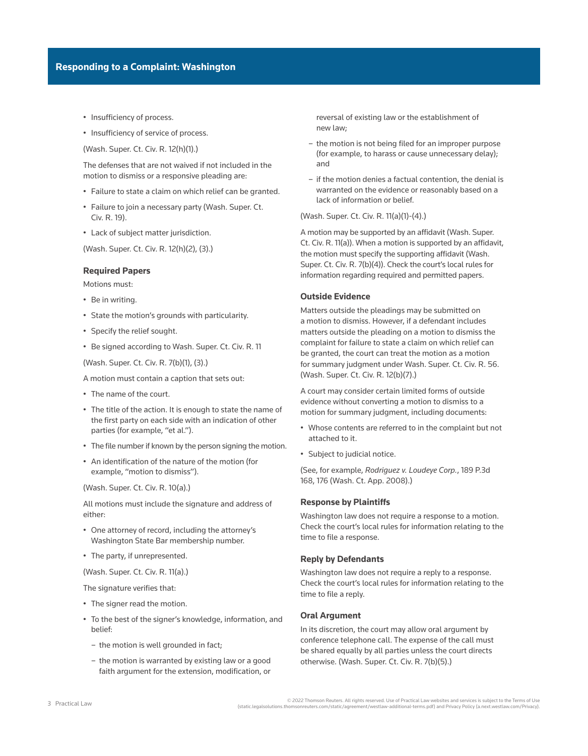- Insufficiency of process.
- Insufficiency of service of process.

([Wash. Super. Ct. Civ. R. 12\(h\)\(1\)](http://www.westlaw.com/Link/Document/FullText?findType=L&pubNum=1003982&cite=WARSUPERCTCIVCR12&originatingDoc=I9e8d955217c611e598db8b09b4f043e0&refType=LQ&originationContext=document&vr=3.0&rs=cblt1.0&transitionType=PLDocumentLink&billingHash=97167F438FC778BAA872619E33680F5140922440B648EDB528FFA51B899EAA33&contextData=(sc.Search)).)

The defenses that are not waived if not included in the motion to dismiss or a responsive pleading are:

- Failure to state a claim on which relief can be granted.
- Failure to join a necessary party ([Wash. Super. Ct.](http://www.westlaw.com/Link/Document/FullText?findType=L&pubNum=1003982&cite=WARSUPERCTCIVCR19&originatingDoc=I9e8d955217c611e598db8b09b4f043e0&refType=LQ&originationContext=document&vr=3.0&rs=cblt1.0&transitionType=PLDocumentLink&billingHash=758A2077F483210086BFA4DCE8182144D74D333A87D7C5D42EC0DC00D3861CA4&contextData=(sc.Search))  [Civ. R. 19\)](http://www.westlaw.com/Link/Document/FullText?findType=L&pubNum=1003982&cite=WARSUPERCTCIVCR19&originatingDoc=I9e8d955217c611e598db8b09b4f043e0&refType=LQ&originationContext=document&vr=3.0&rs=cblt1.0&transitionType=PLDocumentLink&billingHash=758A2077F483210086BFA4DCE8182144D74D333A87D7C5D42EC0DC00D3861CA4&contextData=(sc.Search)).
- Lack of subject matter jurisdiction.

([Wash. Super. Ct. Civ. R. 12\(h\)\(2\), \(3\)](http://www.westlaw.com/Link/Document/FullText?findType=L&pubNum=1003982&cite=WARSUPERCTCIVCR12&originatingDoc=I9e8d955217c611e598db8b09b4f043e0&refType=LQ&originationContext=document&vr=3.0&rs=cblt1.0&transitionType=PLDocumentLink&billingHash=97167F438FC778BAA872619E33680F5140922440B648EDB528FFA51B899EAA33&contextData=(sc.Search)).)

### **Required Papers**

Motions must:

- Be in writing.
- State the motion's grounds with particularity.
- Specify the relief sought.
- Be signed according to [Wash. Super. Ct. Civ. R. 11](http://www.westlaw.com/Link/Document/FullText?findType=L&pubNum=1003982&cite=WARSUPERCTCIVCR11&originatingDoc=I9e8d955217c611e598db8b09b4f043e0&refType=LQ&originationContext=document&vr=3.0&rs=cblt1.0&transitionType=PLDocumentLink&billingHash=853D6552C559B9A4F0789CE757AEB71B617F5D320239245FCB7313F5A9754642&contextData=(sc.Search))

([Wash. Super. Ct. Civ. R. 7\(b\)\(1\), \(3\).](http://www.westlaw.com/Link/Document/FullText?findType=L&pubNum=1003982&cite=WARSUPERCTCIVCR7&originatingDoc=I9e8d955217c611e598db8b09b4f043e0&refType=LQ&originationContext=document&vr=3.0&rs=cblt1.0&transitionType=PLDocumentLink&billingHash=1380C4578D81B88ACDBCC18258ACE5D30C41F72B4764A74B20AB3057D5731C7B&contextData=(sc.Search)))

- A motion must contain a caption that sets out:
- The name of the court.
- The title of the action. It is enough to state the name of the first party on each side with an indication of other parties (for example, "et al.").
- The file number if known by the person signing the motion.
- An identification of the nature of the motion (for example, "motion to dismiss").

([Wash. Super. Ct. Civ. R. 10\(a\)](http://www.westlaw.com/Link/Document/FullText?findType=L&pubNum=1003982&cite=WARSUPERCTCIVCR10&originatingDoc=I9e8d955217c611e598db8b09b4f043e0&refType=LQ&originationContext=document&vr=3.0&rs=cblt1.0&transitionType=PLDocumentLink&billingHash=0E7C966EF5A095C1D3AD21F99230AB1F1CDFF603059EC5D007B61AF61F3FD441&contextData=(sc.Search)).)

All motions must include the signature and address of either:

- One attorney of record, including the attorney's Washington State Bar membership number.
- The party, if unrepresented.

([Wash. Super. Ct. Civ. R. 11\(a\).](http://www.westlaw.com/Link/Document/FullText?findType=L&pubNum=1003982&cite=WARSUPERCTCIVCR11&originatingDoc=I9e8d955217c611e598db8b09b4f043e0&refType=LQ&originationContext=document&vr=3.0&rs=cblt1.0&transitionType=PLDocumentLink&billingHash=853D6552C559B9A4F0789CE757AEB71B617F5D320239245FCB7313F5A9754642&contextData=(sc.Search)))

The signature verifies that:

- The signer read the motion.
- To the best of the signer's knowledge, information, and belief:
	- the motion is well grounded in fact;
	- the motion is warranted by existing law or a good faith argument for the extension, modification, or

reversal of existing law or the establishment of new law;

- the motion is not being filed for an improper purpose (for example, to harass or cause unnecessary delay); and
- if the motion denies a factual contention, the denial is warranted on the evidence or reasonably based on a lack of information or belief.

### [\(Wash. Super. Ct. Civ. R. 11\(a\)\(1\)-\(4\)](http://www.westlaw.com/Link/Document/FullText?findType=L&pubNum=1003982&cite=WARSUPERCTCIVCR11&originatingDoc=I9e8d955217c611e598db8b09b4f043e0&refType=LQ&originationContext=document&vr=3.0&rs=cblt1.0&transitionType=PLDocumentLink&billingHash=853D6552C559B9A4F0789CE757AEB71B617F5D320239245FCB7313F5A9754642&contextData=(sc.Search)).)

A motion may be supported by an affidavit [\(Wash. Super.](http://www.westlaw.com/Link/Document/FullText?findType=L&pubNum=1003982&cite=WARSUPERCTCIVCR11&originatingDoc=I9e8d955217c611e598db8b09b4f043e0&refType=LQ&originationContext=document&vr=3.0&rs=cblt1.0&transitionType=PLDocumentLink&billingHash=853D6552C559B9A4F0789CE757AEB71B617F5D320239245FCB7313F5A9754642&contextData=(sc.Search))  [Ct. Civ. R. 11\(a\)](http://www.westlaw.com/Link/Document/FullText?findType=L&pubNum=1003982&cite=WARSUPERCTCIVCR11&originatingDoc=I9e8d955217c611e598db8b09b4f043e0&refType=LQ&originationContext=document&vr=3.0&rs=cblt1.0&transitionType=PLDocumentLink&billingHash=853D6552C559B9A4F0789CE757AEB71B617F5D320239245FCB7313F5A9754642&contextData=(sc.Search))). When a motion is supported by an affidavit, the motion must specify the supporting affidavit [\(Wash.](http://www.westlaw.com/Link/Document/FullText?findType=L&pubNum=1003982&cite=WARSUPERCTCIVCR7&originatingDoc=I9e8d955217c611e598db8b09b4f043e0&refType=LQ&originationContext=document&vr=3.0&rs=cblt1.0&transitionType=PLDocumentLink&billingHash=1380C4578D81B88ACDBCC18258ACE5D30C41F72B4764A74B20AB3057D5731C7B&contextData=(sc.Search))  [Super. Ct. Civ. R. 7\(b\)\(4\)\)](http://www.westlaw.com/Link/Document/FullText?findType=L&pubNum=1003982&cite=WARSUPERCTCIVCR7&originatingDoc=I9e8d955217c611e598db8b09b4f043e0&refType=LQ&originationContext=document&vr=3.0&rs=cblt1.0&transitionType=PLDocumentLink&billingHash=1380C4578D81B88ACDBCC18258ACE5D30C41F72B4764A74B20AB3057D5731C7B&contextData=(sc.Search)). Check the court's local rules for information regarding required and permitted papers.

### **Outside Evidence**

Matters outside the pleadings may be submitted on a motion to dismiss. However, if a defendant includes matters outside the pleading on a motion to dismiss the complaint for failure to state a claim on which relief can be granted, the court can treat the motion as a motion for [summary judgment](http://www.westlaw.com/Document/I0f9fbfe7ef0811e28578f7ccc38dcbee/View/FullText.html?originationContext=document&vr=3.0&rs=cblt1.0&transitionType=DocumentItem&contextData=(sc.Search)) under [Wash. Super. Ct. Civ. R. 56](http://www.westlaw.com/Link/Document/FullText?findType=L&pubNum=1003982&cite=WARSUPERCTCIVCR56&originatingDoc=I9e8d955217c611e598db8b09b4f043e0&refType=LQ&originationContext=document&vr=3.0&rs=cblt1.0&transitionType=PLDocumentLink&billingHash=BA1191690AB04C1BC5B33729B4EDF3D8FC6D21D0680F645FFCB2E8F30407C453&contextData=(sc.Search)). [\(Wash. Super. Ct. Civ. R. 12\(b\)\(7\)](http://www.westlaw.com/Link/Document/FullText?findType=L&pubNum=1003982&cite=WARSUPERCTCIVCR12&originatingDoc=I9e8d955217c611e598db8b09b4f043e0&refType=LQ&originationContext=document&vr=3.0&rs=cblt1.0&transitionType=PLDocumentLink&billingHash=97167F438FC778BAA872619E33680F5140922440B648EDB528FFA51B899EAA33&contextData=(sc.Search)).)

A court may consider certain limited forms of outside evidence without converting a motion to dismiss to a motion for summary judgment, including documents:

- Whose contents are referred to in the complaint but not attached to it.
- Subject to judicial notice.

(See, for example, *[Rodriguez v. Loudeye Corp.](http://www.westlaw.com/Link/Document/FullText?findType=Y&serNum=2016669426&pubNum=0004645&originatingDoc=I9e8d955217c611e598db8b09b4f043e0&refType=RP&fi=co_pp_sp_4645_176&originationContext=document&vr=3.0&rs=cblt1.0&transitionType=PLDocumentLink&billingHash=050E0ACE061C2142D95C97E71B5CE236560064D8433CCC2C8B77DBAD12E0FC78&contextData=(sc.Search)#co_pp_sp_4645_176)*, 189 P.3d [168, 176 \(Wash. Ct. App. 2008\).](http://www.westlaw.com/Link/Document/FullText?findType=Y&serNum=2016669426&pubNum=0004645&originatingDoc=I9e8d955217c611e598db8b09b4f043e0&refType=RP&fi=co_pp_sp_4645_176&originationContext=document&vr=3.0&rs=cblt1.0&transitionType=PLDocumentLink&billingHash=050E0ACE061C2142D95C97E71B5CE236560064D8433CCC2C8B77DBAD12E0FC78&contextData=(sc.Search)#co_pp_sp_4645_176))

### **Response by Plaintiffs**

Washington law does not require a response to a motion. Check the court's local rules for information relating to the time to file a response.

#### **Reply by Defendants**

Washington law does not require a reply to a response. Check the court's local rules for information relating to the time to file a reply.

### **Oral Argument**

In its discretion, the court may allow oral argument by conference telephone call. The expense of the call must be shared equally by all parties unless the court directs otherwise. [\(Wash. Super. Ct. Civ. R. 7\(b\)\(5\).](http://www.westlaw.com/Link/Document/FullText?findType=L&pubNum=1003982&cite=WARSUPERCTCIVCR7&originatingDoc=I9e8d955217c611e598db8b09b4f043e0&refType=LQ&originationContext=document&vr=3.0&rs=cblt1.0&transitionType=PLDocumentLink&billingHash=1380C4578D81B88ACDBCC18258ACE5D30C41F72B4764A74B20AB3057D5731C7B&contextData=(sc.Search)))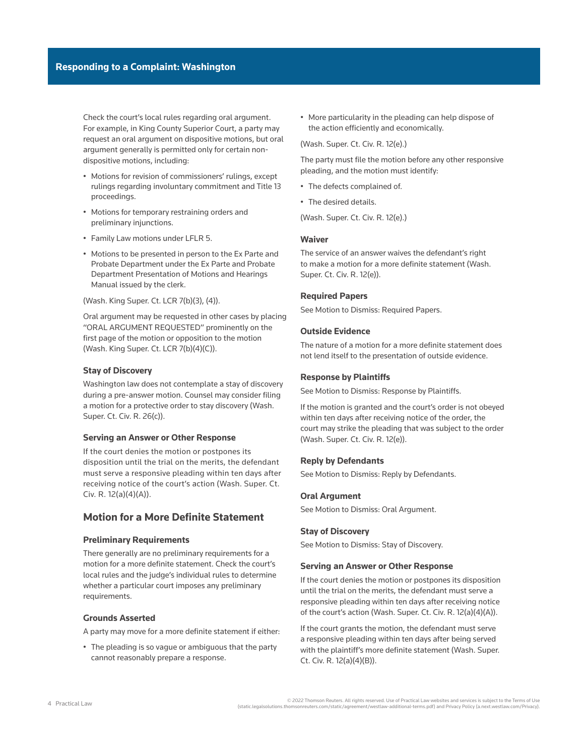Check the court's local rules regarding oral argument. For example, in King County Superior Court, a party may request an oral argument on dispositive motions, but oral argument generally is permitted only for certain nondispositive motions, including:

- Motions for revision of commissioners' rulings, except rulings regarding involuntary commitment and Title 13 proceedings.
- Motions for [temporary restraining orders](http://www.westlaw.com/Document/I0f9fe53def0811e28578f7ccc38dcbee/View/FullText.html?originationContext=document&vr=3.0&rs=cblt1.0&transitionType=DocumentItem&contextData=(sc.Search)) and [preliminary injunctions](http://www.westlaw.com/Document/I0f9fe53fef0811e28578f7ccc38dcbee/View/FullText.html?originationContext=document&vr=3.0&rs=cblt1.0&transitionType=DocumentItem&contextData=(sc.Search)).
- Family Law motions under LFLR 5.
- Motions to be presented in person to the Ex Parte and Probate Department under the Ex Parte and Probate Department Presentation of Motions and Hearings Manual issued by the clerk.

(Wash. King Super. Ct. LCR 7(b)(3), (4)).

Oral argument may be requested in other cases by placing "ORAL ARGUMENT REQUESTED" prominently on the first page of the motion or opposition to the motion (Wash. King Super. Ct. LCR 7(b)(4)(C)).

### **Stay of Discovery**

Washington law does not contemplate a stay of discovery during a pre-answer motion. Counsel may consider filing a motion for a [protective order](http://www.westlaw.com/Document/I0f9fbe36ef0811e28578f7ccc38dcbee/View/FullText.html?originationContext=document&vr=3.0&rs=cblt1.0&transitionType=DocumentItem&contextData=(sc.Search)) to stay discovery [\(Wash.](http://www.westlaw.com/Link/Document/FullText?findType=L&pubNum=1003982&cite=WARSUPERCTCIVCR26&originatingDoc=I9e8d955217c611e598db8b09b4f043e0&refType=LQ&originationContext=document&vr=3.0&rs=cblt1.0&transitionType=PLDocumentLink&billingHash=ED760A76AB52AD6AE1F026FB87C58E0588F847231ADA7601AC6D19558E12F8FE&contextData=(sc.Search))  [Super. Ct. Civ. R. 26\(c\)\)](http://www.westlaw.com/Link/Document/FullText?findType=L&pubNum=1003982&cite=WARSUPERCTCIVCR26&originatingDoc=I9e8d955217c611e598db8b09b4f043e0&refType=LQ&originationContext=document&vr=3.0&rs=cblt1.0&transitionType=PLDocumentLink&billingHash=ED760A76AB52AD6AE1F026FB87C58E0588F847231ADA7601AC6D19558E12F8FE&contextData=(sc.Search)).

### **Serving an Answer or Other Response**

If the court denies the motion or postpones its disposition until the trial on the merits, the defendant must serve a responsive pleading within ten days after receiving notice of the court's action ([Wash. Super. Ct.](http://www.westlaw.com/Link/Document/FullText?findType=L&pubNum=1003982&cite=WARSUPERCTCIVCR12&originatingDoc=I9e8d955217c611e598db8b09b4f043e0&refType=LQ&originationContext=document&vr=3.0&rs=cblt1.0&transitionType=PLDocumentLink&billingHash=97167F438FC778BAA872619E33680F5140922440B648EDB528FFA51B899EAA33&contextData=(sc.Search))  [Civ. R. 12\(a\)\(4\)\(A\)\)](http://www.westlaw.com/Link/Document/FullText?findType=L&pubNum=1003982&cite=WARSUPERCTCIVCR12&originatingDoc=I9e8d955217c611e598db8b09b4f043e0&refType=LQ&originationContext=document&vr=3.0&rs=cblt1.0&transitionType=PLDocumentLink&billingHash=97167F438FC778BAA872619E33680F5140922440B648EDB528FFA51B899EAA33&contextData=(sc.Search)).

# **Motion for a More Definite Statement**

### **Preliminary Requirements**

There generally are no preliminary requirements for a motion for a more definite statement. Check the court's local rules and the judge's individual rules to determine whether a particular court imposes any preliminary requirements.

### **Grounds Asserted**

A party may move for a more definite statement if either:

• The pleading is so vague or ambiguous that the party cannot reasonably prepare a response.

• More particularity in the pleading can help dispose of the action efficiently and economically.

[\(Wash. Super. Ct. Civ. R. 12\(e\).](http://www.westlaw.com/Link/Document/FullText?findType=L&pubNum=1003982&cite=WARSUPERCTCIVCR12&originatingDoc=I9e8d955217c611e598db8b09b4f043e0&refType=LQ&originationContext=document&vr=3.0&rs=cblt1.0&transitionType=PLDocumentLink&billingHash=97167F438FC778BAA872619E33680F5140922440B648EDB528FFA51B899EAA33&contextData=(sc.Search)))

The party must file the motion before any other responsive pleading, and the motion must identify:

- The defects complained of.
- The desired details.

[\(Wash. Super. Ct. Civ. R. 12\(e\).](http://www.westlaw.com/Link/Document/FullText?findType=L&pubNum=1003982&cite=WARSUPERCTCIVCR12&originatingDoc=I9e8d955217c611e598db8b09b4f043e0&refType=LQ&originationContext=document&vr=3.0&rs=cblt1.0&transitionType=PLDocumentLink&billingHash=97167F438FC778BAA872619E33680F5140922440B648EDB528FFA51B899EAA33&contextData=(sc.Search)))

# **Waiver**

The service of an answer waives the defendant's right to make a motion for a more definite statement ([Wash.](http://www.westlaw.com/Link/Document/FullText?findType=L&pubNum=1003982&cite=WARSUPERCTCIVCR12&originatingDoc=I9e8d955217c611e598db8b09b4f043e0&refType=LQ&originationContext=document&vr=3.0&rs=cblt1.0&transitionType=PLDocumentLink&billingHash=97167F438FC778BAA872619E33680F5140922440B648EDB528FFA51B899EAA33&contextData=(sc.Search))  [Super. Ct. Civ. R. 12\(e\)\)](http://www.westlaw.com/Link/Document/FullText?findType=L&pubNum=1003982&cite=WARSUPERCTCIVCR12&originatingDoc=I9e8d955217c611e598db8b09b4f043e0&refType=LQ&originationContext=document&vr=3.0&rs=cblt1.0&transitionType=PLDocumentLink&billingHash=97167F438FC778BAA872619E33680F5140922440B648EDB528FFA51B899EAA33&contextData=(sc.Search)).

## **Required Papers**

See [Motion to Dismiss: Required Papers.](file:///Production/Composition/Thomson/Incoming/2022/012722/#co_anchor_a000013_1)

# **Outside Evidence**

The nature of a motion for a more definite statement does not lend itself to the presentation of outside evidence.

#### **Response by Plaintiffs**

See [Motion to Dismiss: Response by Plaintiffs.](file:///Production/Composition/Thomson/Incoming/2022/012722/#co_anchor_a000015_1)

If the motion is granted and the court's order is not obeyed within ten days after receiving notice of the order, the court may strike the pleading that was subject to the order [\(Wash. Super. Ct. Civ. R. 12\(e\)\)](http://www.westlaw.com/Link/Document/FullText?findType=L&pubNum=1003982&cite=WARSUPERCTCIVCR12&originatingDoc=I9e8d955217c611e598db8b09b4f043e0&refType=LQ&originationContext=document&vr=3.0&rs=cblt1.0&transitionType=PLDocumentLink&billingHash=97167F438FC778BAA872619E33680F5140922440B648EDB528FFA51B899EAA33&contextData=(sc.Search)).

### **Reply by Defendants**

See [Motion to Dismiss: Reply by Defendants](file:///Production/Composition/Thomson/Incoming/2022/012722/#co_anchor_a001607_1).

### **Oral Argument**

See [Motion to Dismiss: Oral Argument.](file:///Production/Composition/Thomson/Incoming/2022/012722/#co_anchor_a001707_1)

### **Stay of Discovery**

See [Motion to Dismiss: Stay of Discovery](file:///Production/Composition/Thomson/Incoming/2022/012722/#co_anchor_a001807_1).

### **Serving an Answer or Other Response**

If the court denies the motion or postpones its disposition until the trial on the merits, the defendant must serve a responsive pleading within ten days after receiving notice of the court's action ([Wash. Super. Ct. Civ. R. 12\(a\)\(4\)\(A\)\)](http://www.westlaw.com/Link/Document/FullText?findType=L&pubNum=1003982&cite=WARSUPERCTCIVCR12&originatingDoc=I9e8d955217c611e598db8b09b4f043e0&refType=LQ&originationContext=document&vr=3.0&rs=cblt1.0&transitionType=PLDocumentLink&billingHash=97167F438FC778BAA872619E33680F5140922440B648EDB528FFA51B899EAA33&contextData=(sc.Search)).

If the court grants the motion, the defendant must serve a responsive pleading within ten days after being served with the plaintiff's more definite statement ([Wash. Super.](http://www.westlaw.com/Link/Document/FullText?findType=L&pubNum=1003982&cite=WARSUPERCTCIVCR12&originatingDoc=I9e8d955217c611e598db8b09b4f043e0&refType=LQ&originationContext=document&vr=3.0&rs=cblt1.0&transitionType=PLDocumentLink&billingHash=97167F438FC778BAA872619E33680F5140922440B648EDB528FFA51B899EAA33&contextData=(sc.Search))  [Ct. Civ. R. 12\(a\)\(4\)\(B\)](http://www.westlaw.com/Link/Document/FullText?findType=L&pubNum=1003982&cite=WARSUPERCTCIVCR12&originatingDoc=I9e8d955217c611e598db8b09b4f043e0&refType=LQ&originationContext=document&vr=3.0&rs=cblt1.0&transitionType=PLDocumentLink&billingHash=97167F438FC778BAA872619E33680F5140922440B648EDB528FFA51B899EAA33&contextData=(sc.Search))).

2022 Thomson Reuters. All rights reserved. Use of Practical Law websites and services is subject to the Terms of Use<br>(static.legalsolutions.thomsonreuters.com/static/agreement/westlaw-additional-terms.pdf) and Privacy Poli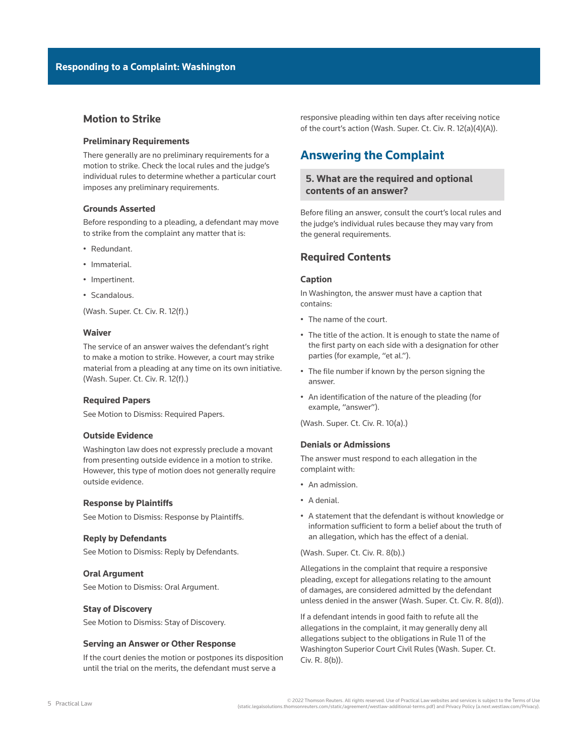# **Motion to Strike**

### **Preliminary Requirements**

There generally are no preliminary requirements for a motion to strike. Check the local rules and the judge's individual rules to determine whether a particular court imposes any preliminary requirements.

### **Grounds Asserted**

Before responding to a pleading, a defendant may move to strike from the complaint any matter that is:

- Redundant.
- Immaterial.
- Impertinent.
- Scandalous.

([Wash. Super. Ct. Civ. R. 12\(f\).](http://www.westlaw.com/Link/Document/FullText?findType=L&pubNum=1003982&cite=WARSUPERCTCIVCR12&originatingDoc=I9e8d955217c611e598db8b09b4f043e0&refType=LQ&originationContext=document&vr=3.0&rs=cblt1.0&transitionType=PLDocumentLink&billingHash=97167F438FC778BAA872619E33680F5140922440B648EDB528FFA51B899EAA33&contextData=(sc.Search)))

### **Waiver**

The service of an answer waives the defendant's right to make a motion to strike. However, a court may strike material from a pleading at any time on its own initiative. ([Wash. Super. Ct. Civ. R. 12\(f\).](http://www.westlaw.com/Link/Document/FullText?findType=L&pubNum=1003982&cite=WARSUPERCTCIVCR12&originatingDoc=I9e8d955217c611e598db8b09b4f043e0&refType=LQ&originationContext=document&vr=3.0&rs=cblt1.0&transitionType=PLDocumentLink&billingHash=97167F438FC778BAA872619E33680F5140922440B648EDB528FFA51B899EAA33&contextData=(sc.Search)))

### **Required Papers**

See [Motion to Dismiss: Required Papers](file:///Production/Composition/Thomson/Incoming/2022/012722/#co_anchor_a000013_1).

### **Outside Evidence**

Washington law does not expressly preclude a movant from presenting outside evidence in a motion to strike. However, this type of motion does not generally require outside evidence.

### **Response by Plaintiffs**

See [Motion to Dismiss: Response by Plaintiffs](file:///Production/Composition/Thomson/Incoming/2022/012722/#co_anchor_a000015_1).

#### **Reply by Defendants**

See [Motion to Dismiss: Reply by Defendants.](file:///Production/Composition/Thomson/Incoming/2022/012722/#co_anchor_a001607_1)

### **Oral Argument**

See [Motion to Dismiss: Oral Argument](file:///Production/Composition/Thomson/Incoming/2022/012722/#co_anchor_a001707_1).

#### **Stay of Discovery**

See [Motion to Dismiss: Stay of Discovery.](file:///Production/Composition/Thomson/Incoming/2022/012722/#co_anchor_a001807_1)

#### **Serving an Answer or Other Response**

If the court denies the motion or postpones its disposition until the trial on the merits, the defendant must serve a

responsive pleading within ten days after receiving notice of the court's action ([Wash. Super. Ct. Civ. R. 12\(a\)\(4\)\(A\)\)](http://www.westlaw.com/Link/Document/FullText?findType=L&pubNum=1003982&cite=WARSUPERCTCIVCR12&originatingDoc=I9e8d955217c611e598db8b09b4f043e0&refType=LQ&originationContext=document&vr=3.0&rs=cblt1.0&transitionType=PLDocumentLink&billingHash=97167F438FC778BAA872619E33680F5140922440B648EDB528FFA51B899EAA33&contextData=(sc.Search)).

# **Answering the Complaint**

# **5. What are the required and optional contents of an answer?**

Before filing an answer, consult the court's local rules and the judge's individual rules because they may vary from the general requirements.

# **Required Contents**

### **Caption**

In Washington, the answer must have a caption that contains:

- The name of the court.
- The title of the action. It is enough to state the name of the first party on each side with a designation for other parties (for example, "et al.").
- The file number if known by the person signing the answer.
- An identification of the nature of the pleading (for example, "answer").

[\(Wash. Super. Ct. Civ. R. 10\(a\).](http://www.westlaw.com/Link/Document/FullText?findType=L&pubNum=1003982&cite=WARSUPERCTCIVCR10&originatingDoc=I9e8d955217c611e598db8b09b4f043e0&refType=LQ&originationContext=document&vr=3.0&rs=cblt1.0&transitionType=PLDocumentLink&billingHash=0E7C966EF5A095C1D3AD21F99230AB1F1CDFF603059EC5D007B61AF61F3FD441&contextData=(sc.Search)))

# **Denials or Admissions**

The answer must respond to each allegation in the complaint with:

- An admission.
- A denial.
- A statement that the defendant is without knowledge or information sufficient to form a belief about the truth of an allegation, which has the effect of a denial.

[\(Wash. Super. Ct. Civ. R. 8\(b\)](http://www.westlaw.com/Link/Document/FullText?findType=L&pubNum=1003982&cite=WARSUPERCTCIVCR8&originatingDoc=I9e8d955217c611e598db8b09b4f043e0&refType=LQ&originationContext=document&vr=3.0&rs=cblt1.0&transitionType=PLDocumentLink&billingHash=AE8AB0C5F08B91F9A2CE58F99937A26E4A7389CB16E84500AF9684579C4AACF8&contextData=(sc.Search)).)

Allegations in the complaint that require a responsive pleading, except for allegations relating to the amount of damages, are considered admitted by the defendant unless denied in the answer ([Wash. Super. Ct. Civ. R. 8\(d\)](http://www.westlaw.com/Link/Document/FullText?findType=L&pubNum=1003982&cite=WARSUPERCTCIVCR8&originatingDoc=I9e8d955217c611e598db8b09b4f043e0&refType=LQ&originationContext=document&vr=3.0&rs=cblt1.0&transitionType=PLDocumentLink&billingHash=AE8AB0C5F08B91F9A2CE58F99937A26E4A7389CB16E84500AF9684579C4AACF8&contextData=(sc.Search))).

If a defendant intends in good faith to refute all the allegations in the complaint, it may generally deny all allegations subject to the obligations in [Rule 11 of the](http://www.westlaw.com/Link/Document/FullText?findType=L&pubNum=1003982&cite=WARSUPERCTCIVCR11&originatingDoc=I9e8d955217c611e598db8b09b4f043e0&refType=LQ&originationContext=document&vr=3.0&rs=cblt1.0&transitionType=PLDocumentLink&billingHash=853D6552C559B9A4F0789CE757AEB71B617F5D320239245FCB7313F5A9754642&contextData=(sc.Search))  [Washington Superior Court Civil Rules](http://www.westlaw.com/Link/Document/FullText?findType=L&pubNum=1003982&cite=WARSUPERCTCIVCR11&originatingDoc=I9e8d955217c611e598db8b09b4f043e0&refType=LQ&originationContext=document&vr=3.0&rs=cblt1.0&transitionType=PLDocumentLink&billingHash=853D6552C559B9A4F0789CE757AEB71B617F5D320239245FCB7313F5A9754642&contextData=(sc.Search)) ([Wash. Super. Ct.](http://www.westlaw.com/Link/Document/FullText?findType=L&pubNum=1003982&cite=WARSUPERCTCIVCR8&originatingDoc=I9e8d955217c611e598db8b09b4f043e0&refType=LQ&originationContext=document&vr=3.0&rs=cblt1.0&transitionType=PLDocumentLink&billingHash=AE8AB0C5F08B91F9A2CE58F99937A26E4A7389CB16E84500AF9684579C4AACF8&contextData=(sc.Search))  [Civ. R. 8\(b\)](http://www.westlaw.com/Link/Document/FullText?findType=L&pubNum=1003982&cite=WARSUPERCTCIVCR8&originatingDoc=I9e8d955217c611e598db8b09b4f043e0&refType=LQ&originationContext=document&vr=3.0&rs=cblt1.0&transitionType=PLDocumentLink&billingHash=AE8AB0C5F08B91F9A2CE58F99937A26E4A7389CB16E84500AF9684579C4AACF8&contextData=(sc.Search))).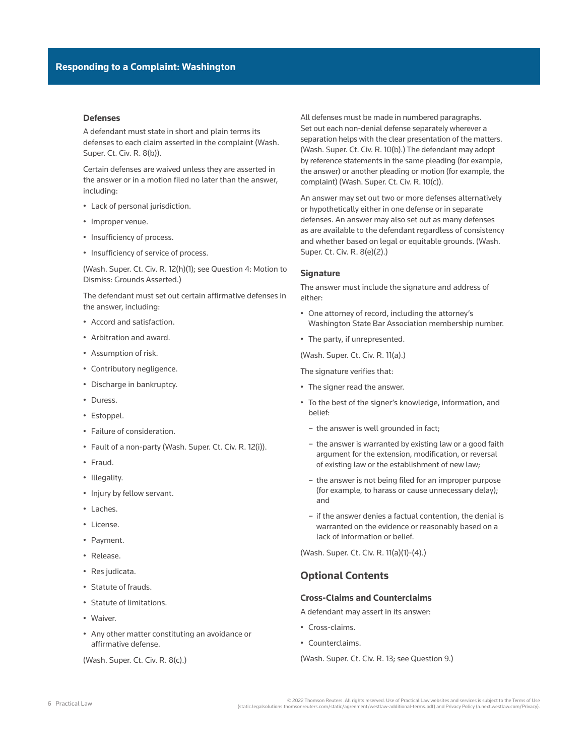### **Defenses**

A defendant must state in short and plain terms its defenses to each claim asserted in the complaint ([Wash.](http://www.westlaw.com/Link/Document/FullText?findType=L&pubNum=1003982&cite=WARSUPERCTCIVCR8&originatingDoc=I9e8d955217c611e598db8b09b4f043e0&refType=LQ&originationContext=document&vr=3.0&rs=cblt1.0&transitionType=PLDocumentLink&billingHash=AE8AB0C5F08B91F9A2CE58F99937A26E4A7389CB16E84500AF9684579C4AACF8&contextData=(sc.Search))  [Super. Ct. Civ. R. 8\(b\)](http://www.westlaw.com/Link/Document/FullText?findType=L&pubNum=1003982&cite=WARSUPERCTCIVCR8&originatingDoc=I9e8d955217c611e598db8b09b4f043e0&refType=LQ&originationContext=document&vr=3.0&rs=cblt1.0&transitionType=PLDocumentLink&billingHash=AE8AB0C5F08B91F9A2CE58F99937A26E4A7389CB16E84500AF9684579C4AACF8&contextData=(sc.Search))).

Certain defenses are waived unless they are asserted in the answer or in a motion filed no later than the answer, including:

- Lack of personal jurisdiction.
- Improper venue.
- Insufficiency of process.
- Insufficiency of service of process.

([Wash. Super. Ct. Civ. R. 12\(h\)\(1\)](http://www.westlaw.com/Link/Document/FullText?findType=L&pubNum=1003982&cite=WARSUPERCTCIVCR12&originatingDoc=I9e8d955217c611e598db8b09b4f043e0&refType=LQ&originationContext=document&vr=3.0&rs=cblt1.0&transitionType=PLDocumentLink&billingHash=97167F438FC778BAA872619E33680F5140922440B648EDB528FFA51B899EAA33&contextData=(sc.Search)); see [Question 4: Motion to](file:///Production/Composition/Thomson/Incoming/2022/012722/#co_anchor_a000011_1) [Dismiss: Grounds Asserted](file:///Production/Composition/Thomson/Incoming/2022/012722/#co_anchor_a000011_1).)

The defendant must set out certain [affirmative defenses](http://www.westlaw.com/Document/I0f9fbfe2ef0811e28578f7ccc38dcbee/View/FullText.html?originationContext=document&vr=3.0&rs=cblt1.0&transitionType=DocumentItem&contextData=(sc.Search)) in the answer, including:

- Accord and satisfaction.
- [Arbitration](http://www.westlaw.com/Document/I0f9fbdfdef0811e28578f7ccc38dcbee/View/FullText.html?originationContext=document&vr=3.0&rs=cblt1.0&transitionType=DocumentItem&contextData=(sc.Search)) and award.
- Assumption of risk.
- Contributory negligence.
- [Discharge](http://www.westlaw.com/Document/I3a99e7daef1211e28578f7ccc38dcbee/View/FullText.html?originationContext=document&vr=3.0&rs=cblt1.0&transitionType=DocumentItem&contextData=(sc.Search)) in bankruptcy.
- Duress.
- [Estoppel.](http://www.westlaw.com/Document/I0f9fe5f8ef0811e28578f7ccc38dcbee/View/FullText.html?originationContext=document&vr=3.0&rs=cblt1.0&transitionType=DocumentItem&contextData=(sc.Search))
- Failure of [consideration.](http://www.westlaw.com/Document/I0f9fc0e6ef0811e28578f7ccc38dcbee/View/FullText.html?originationContext=document&vr=3.0&rs=cblt1.0&transitionType=DocumentItem&contextData=(sc.Search))
- Fault of a non-party ([Wash. Super. Ct. Civ. R. 12\(i\)\)](http://www.westlaw.com/Link/Document/FullText?findType=L&pubNum=1003982&cite=WARSUPERCTCIVCR12&originatingDoc=I9e8d955217c611e598db8b09b4f043e0&refType=LQ&originationContext=document&vr=3.0&rs=cblt1.0&transitionType=PLDocumentLink&billingHash=97167F438FC778BAA872619E33680F5140922440B648EDB528FFA51B899EAA33&contextData=(sc.Search)).
- Fraud.
- Illegality.
- Injury by fellow servant.
- [Laches.](http://www.westlaw.com/Document/I0f9fe5faef0811e28578f7ccc38dcbee/View/FullText.html?originationContext=document&vr=3.0&rs=cblt1.0&transitionType=DocumentItem&contextData=(sc.Search))
- [License.](http://www.westlaw.com/Document/I0fa00bc6ef0811e28578f7ccc38dcbee/View/FullText.html?originationContext=document&vr=3.0&rs=cblt1.0&transitionType=DocumentItem&contextData=(sc.Search))
- Payment.
- [Release](http://www.westlaw.com/Document/I2e45ae59642211e38578f7ccc38dcbee/View/FullText.html?originationContext=document&vr=3.0&rs=cblt1.0&transitionType=DocumentItem&contextData=(sc.Search)).
- [Res judicata](http://www.westlaw.com/Document/I0f9fbff2ef0811e28578f7ccc38dcbee/View/FullText.html?originationContext=document&vr=3.0&rs=cblt1.0&transitionType=DocumentItem&contextData=(sc.Search)).
- [Statute of frauds](http://www.westlaw.com/Document/I5678d41c74ad11e38578f7ccc38dcbee/View/FullText.html?originationContext=document&vr=3.0&rs=cblt1.0&transitionType=DocumentItem&contextData=(sc.Search)).
- [Statute of limitations.](http://www.westlaw.com/Document/Ie38512c2646a11eaadfea82903531a62/View/FullText.html?originationContext=document&vr=3.0&rs=cblt1.0&transitionType=DocumentItem&contextData=(sc.Search))
- Waiver.
- Any other matter constituting an avoidance or affirmative defense.

([Wash. Super. Ct. Civ. R. 8\(c\).](http://www.westlaw.com/Link/Document/FullText?findType=L&pubNum=1003982&cite=WARSUPERCTCIVCR8&originatingDoc=I9e8d955217c611e598db8b09b4f043e0&refType=LQ&originationContext=document&vr=3.0&rs=cblt1.0&transitionType=PLDocumentLink&billingHash=AE8AB0C5F08B91F9A2CE58F99937A26E4A7389CB16E84500AF9684579C4AACF8&contextData=(sc.Search)))

All defenses must be made in numbered paragraphs. Set out each non-denial defense separately wherever a separation helps with the clear presentation of the matters. [\(Wash. Super. Ct. Civ. R. 10\(b\)](http://www.westlaw.com/Link/Document/FullText?findType=L&pubNum=1003982&cite=WARSUPERCTCIVCR10&originatingDoc=I9e8d955217c611e598db8b09b4f043e0&refType=LQ&originationContext=document&vr=3.0&rs=cblt1.0&transitionType=PLDocumentLink&billingHash=0E7C966EF5A095C1D3AD21F99230AB1F1CDFF603059EC5D007B61AF61F3FD441&contextData=(sc.Search)).) The defendant may adopt by reference statements in the same pleading (for example, the answer) or another pleading or motion (for example, the complaint) ([Wash. Super. Ct. Civ. R. 10\(c\)\)](http://www.westlaw.com/Link/Document/FullText?findType=L&pubNum=1003982&cite=WARSUPERCTCIVCR10&originatingDoc=I9e8d955217c611e598db8b09b4f043e0&refType=LQ&originationContext=document&vr=3.0&rs=cblt1.0&transitionType=PLDocumentLink&billingHash=0E7C966EF5A095C1D3AD21F99230AB1F1CDFF603059EC5D007B61AF61F3FD441&contextData=(sc.Search)).

An answer may set out two or more defenses alternatively or hypothetically either in one defense or in separate defenses. An answer may also set out as many defenses as are available to the defendant regardless of consistency and whether based on legal or equitable grounds. ([Wash.](http://www.westlaw.com/Link/Document/FullText?findType=L&pubNum=1003982&cite=WARSUPERCTCIVCR8&originatingDoc=I9e8d955217c611e598db8b09b4f043e0&refType=LQ&originationContext=document&vr=3.0&rs=cblt1.0&transitionType=PLDocumentLink&billingHash=AE8AB0C5F08B91F9A2CE58F99937A26E4A7389CB16E84500AF9684579C4AACF8&contextData=(sc.Search))  [Super. Ct. Civ. R. 8\(e\)\(2\)](http://www.westlaw.com/Link/Document/FullText?findType=L&pubNum=1003982&cite=WARSUPERCTCIVCR8&originatingDoc=I9e8d955217c611e598db8b09b4f043e0&refType=LQ&originationContext=document&vr=3.0&rs=cblt1.0&transitionType=PLDocumentLink&billingHash=AE8AB0C5F08B91F9A2CE58F99937A26E4A7389CB16E84500AF9684579C4AACF8&contextData=(sc.Search)).)

#### **Signature**

The answer must include the signature and address of either:

- One attorney of record, including the attorney's Washington State Bar Association membership number.
- The party, if unrepresented.

[\(Wash. Super. Ct. Civ. R. 11\(a\)](http://www.westlaw.com/Link/Document/FullText?findType=L&pubNum=1003982&cite=WARSUPERCTCIVCR11&originatingDoc=I9e8d955217c611e598db8b09b4f043e0&refType=LQ&originationContext=document&vr=3.0&rs=cblt1.0&transitionType=PLDocumentLink&billingHash=853D6552C559B9A4F0789CE757AEB71B617F5D320239245FCB7313F5A9754642&contextData=(sc.Search)).)

The signature verifies that:

- The signer read the answer.
- To the best of the signer's knowledge, information, and belief:
	- the answer is well grounded in fact;
	- the answer is warranted by existing law or a good faith argument for the extension, modification, or reversal of existing law or the establishment of new law;
	- the answer is not being filed for an improper purpose (for example, to harass or cause unnecessary delay); and
	- if the answer denies a factual contention, the denial is warranted on the evidence or reasonably based on a lack of information or belief.

[\(Wash. Super. Ct. Civ. R. 11\(a\)\(1\)-\(4\)](http://www.westlaw.com/Link/Document/FullText?findType=L&pubNum=1003982&cite=WARSUPERCTCIVCR11&originatingDoc=I9e8d955217c611e598db8b09b4f043e0&refType=LQ&originationContext=document&vr=3.0&rs=cblt1.0&transitionType=PLDocumentLink&billingHash=853D6552C559B9A4F0789CE757AEB71B617F5D320239245FCB7313F5A9754642&contextData=(sc.Search)).)

# **Optional Contents**

# **Cross-Claims and Counterclaims**

A defendant may assert in its answer:

- Cross-claims.
- Counterclaims.
- [\(Wash. Super. Ct. Civ. R. 13;](http://www.westlaw.com/Link/Document/FullText?findType=L&pubNum=1003982&cite=WARSUPERCTCIVCR13&originatingDoc=I9e8d955217c611e598db8b09b4f043e0&refType=LQ&originationContext=document&vr=3.0&rs=cblt1.0&transitionType=PLDocumentLink&billingHash=692A149754BEC54C290DA5EF355710C998D9B7DF26E8643AE697C0ABE7F6DC9C&contextData=(sc.Search)) see [Question 9](file:///Production/Composition/Thomson/Incoming/2022/012722/#co_anchor_a000063_1).)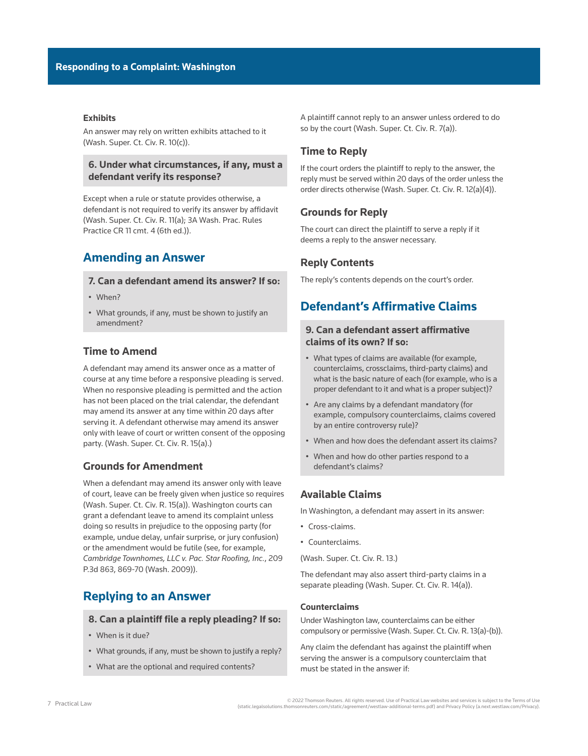# **Exhibits**

An answer may rely on written exhibits attached to it ([Wash. Super. Ct. Civ. R. 10\(c\)](http://www.westlaw.com/Link/Document/FullText?findType=L&pubNum=1003982&cite=WARSUPERCTCIVCR10&originatingDoc=I9e8d955217c611e598db8b09b4f043e0&refType=LQ&originationContext=document&vr=3.0&rs=cblt1.0&transitionType=PLDocumentLink&billingHash=0E7C966EF5A095C1D3AD21F99230AB1F1CDFF603059EC5D007B61AF61F3FD441&contextData=(sc.Search))).

# **6. Under what circumstances, if any, must a defendant verify its response?**

Except when a rule or statute provides otherwise, a defendant is not required to verify its answer by affidavit ([Wash. Super. Ct. Civ. R. 11\(a\);](http://www.westlaw.com/Link/Document/FullText?findType=L&pubNum=1003982&cite=WARSUPERCTCIVCR11&originatingDoc=I9e8d955217c611e598db8b09b4f043e0&refType=LQ&originationContext=document&vr=3.0&rs=cblt1.0&transitionType=PLDocumentLink&billingHash=853D6552C559B9A4F0789CE757AEB71B617F5D320239245FCB7313F5A9754642&contextData=(sc.Search)) 3A Wash. Prac. Rules Practice CR 11 cmt. 4 (6th ed.)).

# **Amending an Answer**

# **7. Can a defendant amend its answer? If so:**

- When?
- What grounds, if any, must be shown to justify an amendment?

# **Time to Amend**

A defendant may amend its answer once as a matter of course at any time before a responsive pleading is served. When no responsive pleading is permitted and the action has not been placed on the trial calendar, the defendant may amend its answer at any time within 20 days after serving it. A defendant otherwise may amend its answer only with leave of court or written consent of the opposing party. [\(Wash. Super. Ct. Civ. R. 15\(a\).](http://www.westlaw.com/Link/Document/FullText?findType=L&pubNum=1003982&cite=WARSUPERCTCIVCR15&originatingDoc=I9e8d955217c611e598db8b09b4f043e0&refType=LQ&originationContext=document&vr=3.0&rs=cblt1.0&transitionType=PLDocumentLink&billingHash=FBE7AAD226A990E9557B4A09E336955B432D5C1BC2B099F7438B545C4FEE7028&contextData=(sc.Search)))

# **Grounds for Amendment**

When a defendant may amend its answer only with leave of court, leave can be freely given when justice so requires ([Wash. Super. Ct. Civ. R. 15\(a\)\)](http://www.westlaw.com/Link/Document/FullText?findType=L&pubNum=1003982&cite=WARSUPERCTCIVCR15&originatingDoc=I9e8d955217c611e598db8b09b4f043e0&refType=LQ&originationContext=document&vr=3.0&rs=cblt1.0&transitionType=PLDocumentLink&billingHash=FBE7AAD226A990E9557B4A09E336955B432D5C1BC2B099F7438B545C4FEE7028&contextData=(sc.Search)). Washington courts can grant a defendant leave to amend its complaint unless doing so results in prejudice to the opposing party (for example, undue delay, unfair surprise, or jury confusion) or the amendment would be futile (see, for example, *[Cambridge Townhomes, LLC v. Pac. Star Roofing, Inc.](http://www.westlaw.com/Link/Document/FullText?findType=Y&serNum=2019164681&pubNum=0004645&originatingDoc=I9e8d955217c611e598db8b09b4f043e0&refType=RP&fi=co_pp_sp_4645_869&originationContext=document&vr=3.0&rs=cblt1.0&transitionType=PLDocumentLink&billingHash=CAAACB34BB3D73993EE7464D6B2B787B0406D718F3B55B4B2C235329E66DE396&contextData=(sc.Search)#co_pp_sp_4645_869)*, 209 [P.3d 863, 869-70 \(Wash. 2009\)\)](http://www.westlaw.com/Link/Document/FullText?findType=Y&serNum=2019164681&pubNum=0004645&originatingDoc=I9e8d955217c611e598db8b09b4f043e0&refType=RP&fi=co_pp_sp_4645_869&originationContext=document&vr=3.0&rs=cblt1.0&transitionType=PLDocumentLink&billingHash=CAAACB34BB3D73993EE7464D6B2B787B0406D718F3B55B4B2C235329E66DE396&contextData=(sc.Search)#co_pp_sp_4645_869).

# **Replying to an Answer**

## **8. Can a plaintiff file a reply pleading? If so:**

- When is it due?
- What grounds, if any, must be shown to justify a reply?
- What are the optional and required contents?

A plaintiff cannot reply to an answer unless ordered to do so by the court [\(Wash. Super. Ct. Civ. R. 7\(a\)](http://www.westlaw.com/Link/Document/FullText?findType=L&pubNum=1003982&cite=WARSUPERCTCIVCR7&originatingDoc=I9e8d955217c611e598db8b09b4f043e0&refType=LQ&originationContext=document&vr=3.0&rs=cblt1.0&transitionType=PLDocumentLink&billingHash=1380C4578D81B88ACDBCC18258ACE5D30C41F72B4764A74B20AB3057D5731C7B&contextData=(sc.Search))).

# **Time to Reply**

If the court orders the plaintiff to reply to the answer, the reply must be served within 20 days of the order unless the order directs otherwise ([Wash. Super. Ct. Civ. R. 12\(a\)\(4\)](http://www.westlaw.com/Link/Document/FullText?findType=L&pubNum=1003982&cite=WARSUPERCTCIVCR12&originatingDoc=I9e8d955217c611e598db8b09b4f043e0&refType=LQ&originationContext=document&vr=3.0&rs=cblt1.0&transitionType=PLDocumentLink&billingHash=97167F438FC778BAA872619E33680F5140922440B648EDB528FFA51B899EAA33&contextData=(sc.Search))).

# **Grounds for Reply**

The court can direct the plaintiff to serve a reply if it deems a reply to the answer necessary.

# **Reply Contents**

The reply's contents depends on the court's order.

# **Defendant's Affirmative Claims**

# **9. Can a defendant assert affirmative claims of its own? If so:**

- What types of claims are available (for example, counterclaims, crossclaims, third-party claims) and what is the basic nature of each (for example, who is a proper defendant to it and what is a proper subject)?
- Are any claims by a defendant mandatory (for example, compulsory counterclaims, claims covered by an entire controversy rule)?
- When and how does the defendant assert its claims?
- When and how do other parties respond to a defendant's claims?

# **Available Claims**

In Washington, a defendant may assert in its answer:

- Cross-claims.
- Counterclaims.

[\(Wash. Super. Ct. Civ. R. 13.](http://www.westlaw.com/Link/Document/FullText?findType=L&pubNum=1003982&cite=WARSUPERCTCIVCR13&originatingDoc=I9e8d955217c611e598db8b09b4f043e0&refType=LQ&originationContext=document&vr=3.0&rs=cblt1.0&transitionType=PLDocumentLink&billingHash=692A149754BEC54C290DA5EF355710C998D9B7DF26E8643AE697C0ABE7F6DC9C&contextData=(sc.Search)))

The defendant may also assert third-party claims in a separate pleading ([Wash. Super. Ct. Civ. R. 14\(a\)\)](http://www.westlaw.com/Link/Document/FullText?findType=L&pubNum=1003982&cite=WARSUPERCTCIVCR14&originatingDoc=I9e8d955217c611e598db8b09b4f043e0&refType=LQ&originationContext=document&vr=3.0&rs=cblt1.0&transitionType=PLDocumentLink&billingHash=6612DD74B6C2050429C5826189BC188BCD39D15CE169A6CE4759590BF8F92C42&contextData=(sc.Search)).

# **Counterclaims**

Under Washington law, counterclaims can be either compulsory or permissive [\(Wash. Super. Ct. Civ. R. 13\(a\)-\(b\)](http://www.westlaw.com/Link/Document/FullText?findType=L&pubNum=1003982&cite=WARSUPERCTCIVCR13&originatingDoc=I9e8d955217c611e598db8b09b4f043e0&refType=LQ&originationContext=document&vr=3.0&rs=cblt1.0&transitionType=PLDocumentLink&billingHash=692A149754BEC54C290DA5EF355710C998D9B7DF26E8643AE697C0ABE7F6DC9C&contextData=(sc.Search))).

Any claim the defendant has against the plaintiff when serving the answer is a compulsory counterclaim that must be stated in the answer if:

7 Practical Law © 2022 Thomson Reuters. All rights reserved. Use of Practical Law websites and services is subject to the Terms of Use (static.legalsolutions.thomsonreuters.com/static/agreement/westlaw-additional-terms.pdf) and Privacy Policy (a.next.westlaw.com/Privacy).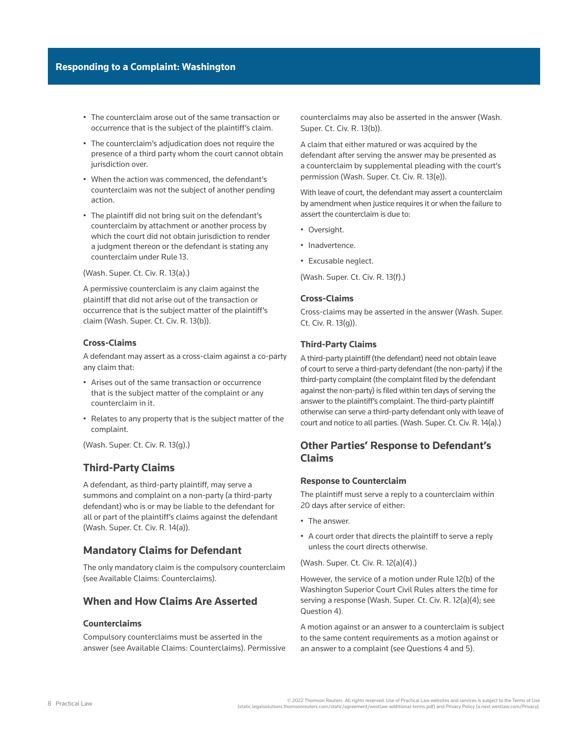- The counterclaim arose out of the same transaction or occurrence that is the subject of the plaintiff's claim.
- The counterclaim's adjudication does not require the presence of a third party whom the court cannot obtain jurisdiction over.
- When the action was commenced, the defendant's counterclaim was not the subject of another pending action.
- The plaintiff did not bring suit on the defendant's counterclaim by attachment or another process by which the court did not obtain jurisdiction to render a judgment thereon or the defendant is stating any counterclaim under Rule 13.

([Wash. Super. Ct. Civ. R. 13\(a\)](http://www.westlaw.com/Link/Document/FullText?findType=L&pubNum=1003982&cite=WARSUPERCTCIVCR13&originatingDoc=I9e8d955217c611e598db8b09b4f043e0&refType=LQ&originationContext=document&vr=3.0&rs=cblt1.0&transitionType=PLDocumentLink&billingHash=692A149754BEC54C290DA5EF355710C998D9B7DF26E8643AE697C0ABE7F6DC9C&contextData=(sc.Search)).)

A permissive counterclaim is any claim against the plaintiff that did not arise out of the transaction or occurrence that is the subject matter of the plaintiff's claim [\(Wash. Super. Ct. Civ. R. 13\(b\)\)](http://www.westlaw.com/Link/Document/FullText?findType=L&pubNum=1003982&cite=WARSUPERCTCIVCR13&originatingDoc=I9e8d955217c611e598db8b09b4f043e0&refType=LQ&originationContext=document&vr=3.0&rs=cblt1.0&transitionType=PLDocumentLink&billingHash=692A149754BEC54C290DA5EF355710C998D9B7DF26E8643AE697C0ABE7F6DC9C&contextData=(sc.Search)).

### **Cross-Claims**

A defendant may assert as a cross-claim against a co-party any claim that:

- Arises out of the same transaction or occurrence that is the subject matter of the complaint or any counterclaim in it.
- Relates to any property that is the subject matter of the complaint.

([Wash. Super. Ct. Civ. R. 13\(g\)](http://www.westlaw.com/Link/Document/FullText?findType=L&pubNum=1003982&cite=WARSUPERCTCIVCR13&originatingDoc=I9e8d955217c611e598db8b09b4f043e0&refType=LQ&originationContext=document&vr=3.0&rs=cblt1.0&transitionType=PLDocumentLink&billingHash=692A149754BEC54C290DA5EF355710C998D9B7DF26E8643AE697C0ABE7F6DC9C&contextData=(sc.Search)).)

# **Third-Party Claims**

A defendant, as third-party plaintiff, may serve a summons and complaint on a non-party (a third-party defendant) who is or may be liable to the defendant for all or part of the plaintiff's claims against the defendant ([Wash. Super. Ct. Civ. R. 14\(a\)\)](http://www.westlaw.com/Link/Document/FullText?findType=L&pubNum=1003982&cite=WARSUPERCTCIVCR14&originatingDoc=I9e8d955217c611e598db8b09b4f043e0&refType=LQ&originationContext=document&vr=3.0&rs=cblt1.0&transitionType=PLDocumentLink&billingHash=6612DD74B6C2050429C5826189BC188BCD39D15CE169A6CE4759590BF8F92C42&contextData=(sc.Search)).

# **Mandatory Claims for Defendant**

The only mandatory claim is the compulsory counterclaim (see [Available Claims: Counterclaims](file:///Production/Composition/Thomson/Incoming/2022/012722/#co_anchor_a000065_1)).

# **When and How Claims Are Asserted**

# **Counterclaims**

Compulsory counterclaims must be asserted in the answer (see [Available Claims: Counterclaims\)](file:///Production/Composition/Thomson/Incoming/2022/012722/#co_anchor_a000065_1). Permissive counterclaims may also be asserted in the answer [\(Wash.](http://www.westlaw.com/Link/Document/FullText?findType=L&pubNum=1003982&cite=WARSUPERCTCIVCR13&originatingDoc=I9e8d955217c611e598db8b09b4f043e0&refType=LQ&originationContext=document&vr=3.0&rs=cblt1.0&transitionType=PLDocumentLink&billingHash=692A149754BEC54C290DA5EF355710C998D9B7DF26E8643AE697C0ABE7F6DC9C&contextData=(sc.Search))  [Super. Ct. Civ. R. 13\(b\)](http://www.westlaw.com/Link/Document/FullText?findType=L&pubNum=1003982&cite=WARSUPERCTCIVCR13&originatingDoc=I9e8d955217c611e598db8b09b4f043e0&refType=LQ&originationContext=document&vr=3.0&rs=cblt1.0&transitionType=PLDocumentLink&billingHash=692A149754BEC54C290DA5EF355710C998D9B7DF26E8643AE697C0ABE7F6DC9C&contextData=(sc.Search))).

A claim that either matured or was acquired by the defendant after serving the answer may be presented as a counterclaim by supplemental pleading with the court's permission [\(Wash. Super. Ct. Civ. R. 13\(e\)\)](http://www.westlaw.com/Link/Document/FullText?findType=L&pubNum=1003982&cite=WARSUPERCTCIVCR13&originatingDoc=I9e8d955217c611e598db8b09b4f043e0&refType=LQ&originationContext=document&vr=3.0&rs=cblt1.0&transitionType=PLDocumentLink&billingHash=692A149754BEC54C290DA5EF355710C998D9B7DF26E8643AE697C0ABE7F6DC9C&contextData=(sc.Search)).

With leave of court, the defendant may assert a counterclaim by amendment when justice requires it or when the failure to assert the counterclaim is due to:

- Oversight.
- Inadvertence.
- Excusable neglect.

[\(Wash. Super. Ct. Civ. R. 13\(f\)](http://www.westlaw.com/Link/Document/FullText?findType=L&pubNum=1003982&cite=WARSUPERCTCIVCR13&originatingDoc=I9e8d955217c611e598db8b09b4f043e0&refType=LQ&originationContext=document&vr=3.0&rs=cblt1.0&transitionType=PLDocumentLink&billingHash=692A149754BEC54C290DA5EF355710C998D9B7DF26E8643AE697C0ABE7F6DC9C&contextData=(sc.Search)).)

# **Cross-Claims**

Cross-claims may be asserted in the answer ([Wash. Super.](http://www.westlaw.com/Link/Document/FullText?findType=L&pubNum=1003982&cite=WARSUPERCTCIVCR13&originatingDoc=I9e8d955217c611e598db8b09b4f043e0&refType=LQ&originationContext=document&vr=3.0&rs=cblt1.0&transitionType=PLDocumentLink&billingHash=692A149754BEC54C290DA5EF355710C998D9B7DF26E8643AE697C0ABE7F6DC9C&contextData=(sc.Search))  [Ct. Civ. R. 13\(g\)](http://www.westlaw.com/Link/Document/FullText?findType=L&pubNum=1003982&cite=WARSUPERCTCIVCR13&originatingDoc=I9e8d955217c611e598db8b09b4f043e0&refType=LQ&originationContext=document&vr=3.0&rs=cblt1.0&transitionType=PLDocumentLink&billingHash=692A149754BEC54C290DA5EF355710C998D9B7DF26E8643AE697C0ABE7F6DC9C&contextData=(sc.Search))).

#### **Third-Party Claims**

A third-party plaintiff (the defendant) need not obtain leave of court to serve a third-party defendant (the non-party) if the third-party complaint (the complaint filed by the defendant against the non-party) is filed within ten days of serving the answer to the plaintiff's complaint. The third-party plaintiff otherwise can serve a third-party defendant only with leave of court and notice to all parties. [\(Wash. Super. Ct. Civ. R. 14\(a\).](http://www.westlaw.com/Link/Document/FullText?findType=L&pubNum=1003982&cite=WARSUPERCTCIVCR14&originatingDoc=I9e8d955217c611e598db8b09b4f043e0&refType=LQ&originationContext=document&vr=3.0&rs=cblt1.0&transitionType=PLDocumentLink&billingHash=6612DD74B6C2050429C5826189BC188BCD39D15CE169A6CE4759590BF8F92C42&contextData=(sc.Search)))

# **Other Parties' Response to Defendant's Claims**

#### **Response to Counterclaim**

The plaintiff must serve a reply to a counterclaim within 20 days after service of either:

- The answer.
- A court order that directs the plaintiff to serve a reply unless the court directs otherwise.

#### [\(Wash. Super. Ct. Civ. R. 12\(a\)\(4\)](http://www.westlaw.com/Link/Document/FullText?findType=L&pubNum=1003982&cite=WARSUPERCTCIVCR12&originatingDoc=I9e8d955217c611e598db8b09b4f043e0&refType=LQ&originationContext=document&vr=3.0&rs=cblt1.0&transitionType=PLDocumentLink&billingHash=97167F438FC778BAA872619E33680F5140922440B648EDB528FFA51B899EAA33&contextData=(sc.Search)).)

However, the service of a motion under [Rule 12\(b\) of the](http://www.westlaw.com/Link/Document/FullText?findType=L&pubNum=1003982&cite=WARSUPERCTCIVCR12&originatingDoc=I9e8d955217c611e598db8b09b4f043e0&refType=LQ&originationContext=document&vr=3.0&rs=cblt1.0&transitionType=PLDocumentLink&billingHash=97167F438FC778BAA872619E33680F5140922440B648EDB528FFA51B899EAA33&contextData=(sc.Search))  [Washington Superior Court Civil Rules](http://www.westlaw.com/Link/Document/FullText?findType=L&pubNum=1003982&cite=WARSUPERCTCIVCR12&originatingDoc=I9e8d955217c611e598db8b09b4f043e0&refType=LQ&originationContext=document&vr=3.0&rs=cblt1.0&transitionType=PLDocumentLink&billingHash=97167F438FC778BAA872619E33680F5140922440B648EDB528FFA51B899EAA33&contextData=(sc.Search)) alters the time for serving a response ([Wash. Super. Ct. Civ. R. 12\(a\)\(4\);](http://www.westlaw.com/Link/Document/FullText?findType=L&pubNum=1003982&cite=WARSUPERCTCIVCR12&originatingDoc=I9e8d955217c611e598db8b09b4f043e0&refType=LQ&originationContext=document&vr=3.0&rs=cblt1.0&transitionType=PLDocumentLink&billingHash=97167F438FC778BAA872619E33680F5140922440B648EDB528FFA51B899EAA33&contextData=(sc.Search)) see [Question 4\)](file:///Production/Composition/Thomson/Incoming/2022/012722/#co_anchor_a000807_1).

A motion against or an answer to a counterclaim is subject to the same content requirements as a motion against or an answer to a complaint (see [Questions 4](file:///Production/Composition/Thomson/Incoming/2022/012722/#co_anchor_a000807_1) and [5](file:///Production/Composition/Thomson/Incoming/2022/012722/#co_anchor_a000043_1)).